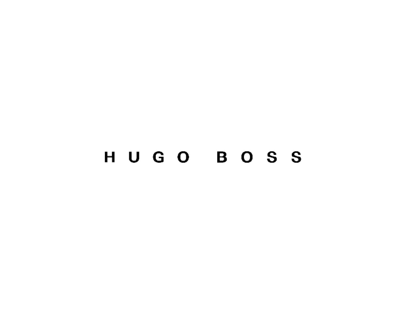# HUGO BOSS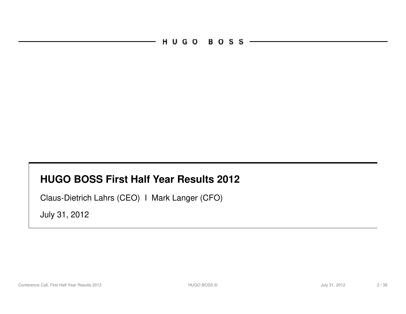HUGO BOSS-

#### **HUGO BOSS First Half Year Results 2012**

Claus-Dietrich Lahrs (CEO) I Mark Langer (CFO)

July 31, 2012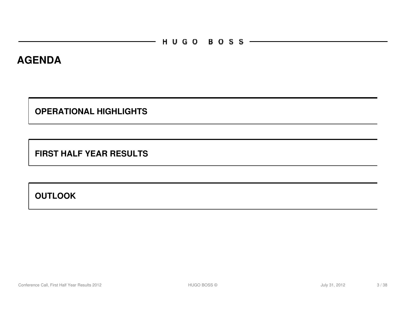#### **AGENDA**

**OPERATIONAL HIGHLIGHTS** 

**FIRST HALF YEAR RESULTS**

**OUTLOOK**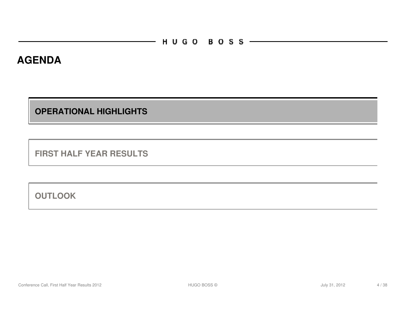#### **AGENDA**

**OPERATIONAL HIGHLIGHTS** 

**FIRST HALF YEAR RESULTS**

**OUTLOOK**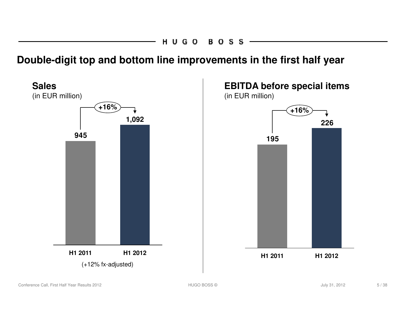**Double-digit top and bottom line improvements in the first half year**

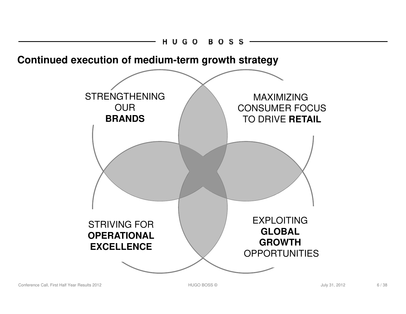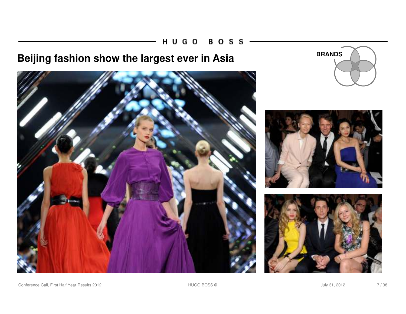HUGO **BOSS** 

## **Beijing fashion show the largest ever in Asia BRANDS**









Conference Call, First Half Year Results 2012 **Fig. 2012 HUGO BOSS © Market All Accord 2012** July 31, 2012 **7/38**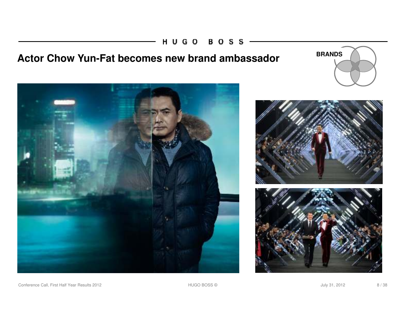HUGO BOSS

## Actor Chow Yun-Fat becomes new brand ambassador **BRANDS**









Conference Call, First Half Year Results 2012 **Matter Accord Provident Accord Provident Accord Provident Accord Provident Accord Provident Accord Provident Accord Provident Accord Provident Accord Provident Accord Providen**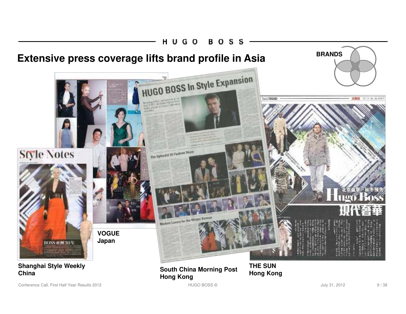

Conference Call, First Half Year Results 2012 **First 2012 HUGO BOSS © Secure 2012** July 31, 2012 9/38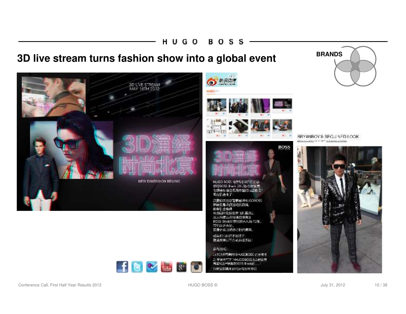#### H U G O **BOSS**

**3D live stream turns fashion show into a global event BRANDS** 





BOSS

HDGD BOSS 将于5月18日在北京 本行BOSS Black 2012から約装置。<br>全場決定項注記号体数は正直点用 現在記念本子

兵器你关注安電學局LFHLCO5OSS<br>井村法島次郎安切的関係<br>株有机会場標<br>免疫国内注記社府 68.第252 三大内夜五星放通店住宿及 BOSS Back北京时的水人场向2名。 市场运进表场。 高身体验应绝妙的时代感染。 如果你已经产不及结了。

数据按判以下方式的40(75)

多与方式 1) 关注资物调报结+UGOBOSS 它方衡手 2) 于德的行下 (NHJSOBOSS: b分时装置) 有实际启\*使高期BOSS Block的 ... 1) 新定義博井200万元初期を受け



BRYANBOY'S SEQUINED LOOK able of a several school and



**ICVIDEO**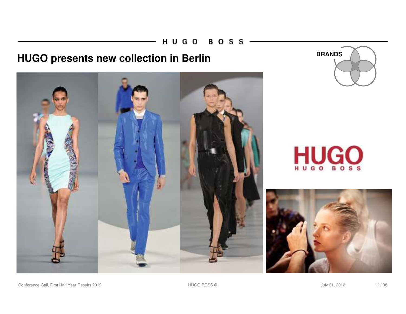HUGO BOSS

## **HUGO presents new collection in Berlin BRANDS**









Conference Call, First Half Year Results 2012 **HUGO BOSS © MACCONFERENT ACCOLLY 11** / 38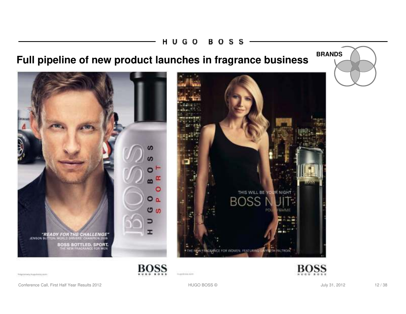#### H U G O **BOSS**

## **Full pipeline of new product launches in fragrance business**

ഗ

c

 $O<sub>a</sub>$ 

ம

BOSS



"READY FOR THE CHALLENGE"<br>JENSON BUTTON, WORLD GRIVERS, CHANGION 2009

**BOSS BOTTLED, SPORT.**<br>THE NEW FRAGRANCE FOR MEN



**BOSS** 

Integrations, magnitude and

Conference Call, First Half Year Results 2012 **HUGO BOSS © METAL ACCONFERENCE 12** / 38

mastria.com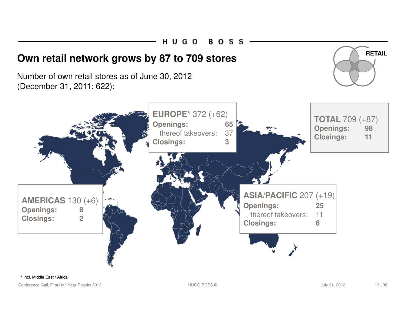HUGO **BOSS** 

### **Own retail network grows by 87 to 709 stores**

Number of own retail stores as of June 30, 2012 (December 31, 2011: 622):





\* incl. Middle East / Africa

Conference Call, First Half Year Results 2012 **HUGO BOSS © MACCONFERENCE ACCOMPTED** 13 / 38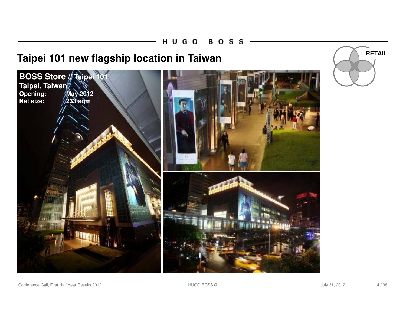## **Taipei 101 new flagship location in Taiwan RETAIL**





Conference Call, First Half Year Results 2012 **HUGO BOSS © METAL ACCONFERENCE 14** / 38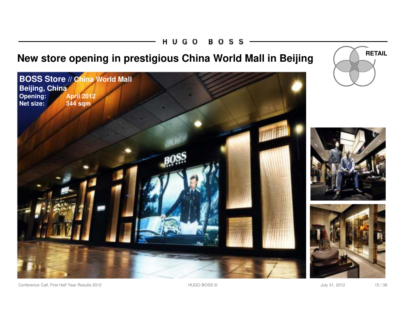#### HUGO **BOSS**

## **New store opening in prestigious China World Mall in Beijing (Allemanuary 1995)** RETAIL







Conference Call, First Half Year Results 2012 **HUGO BOSS © METAL ACCONFERENCE 15** / 38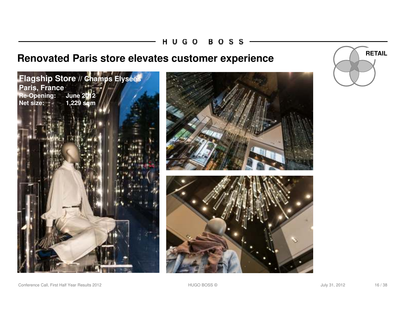H U G O **BOSS** 

## **Renovated Paris store elevates customer experience RETAIL**









Conference Call, First Half Year Results 2012 **HUGO BOSS © METAL ACCONFERENCE 16** / 38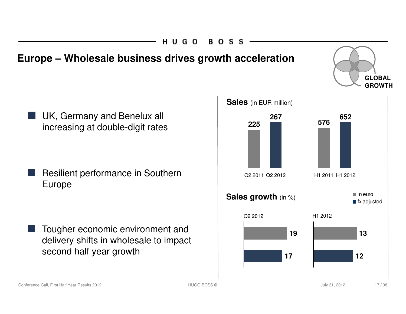#### HUGO в о S.

### **Europe – Wholesale business drives growth acceleration**

UK, Germany and Benelux all increasing at double-digit rates

Resilient performance in Southern Europe

Tougher economic environment and delivery shifts in wholesale to impact second half year growth

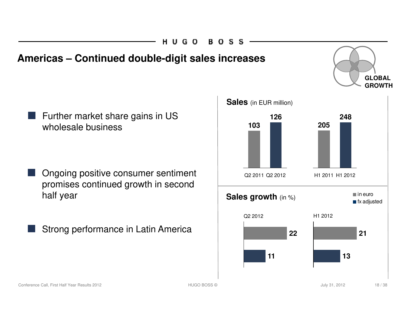HUGO R O SI

### **Americas – Continued double-digit sales increases**

Further market share gains in US wholesale business

- Ongoing positive consumer sentiment promises continued growth in second half year
- Strong performance in Latin America



**GLOBAL**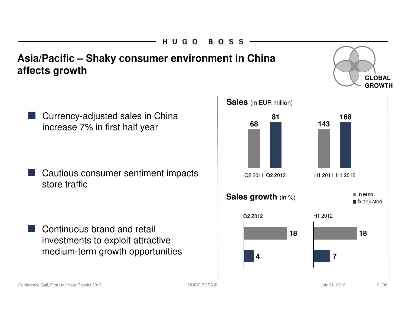HUGO B O S .

### **Asia/Pacific – Shaky consumer environment in China affects growth**

Currency-adjusted sales in China increase 7% in first half year

Cautious consumer sentiment impacts store traffic

Continuous brand and retail investments to exploit attractive medium-term growth opportunities



**GLOBAL**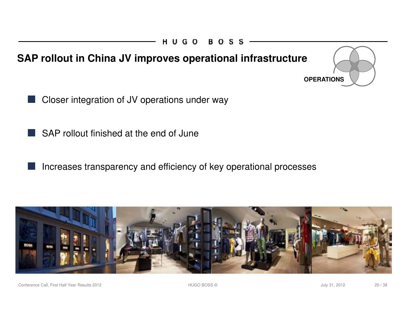

- Closer integration of JV operations under way
- SAP rollout finished at the end of June
	- Increases transparency and efficiency of key operational processes



Conference Call, First Half Year Results 2012 **First 2012** All Conference Call, First Half Year Results 2012 20/38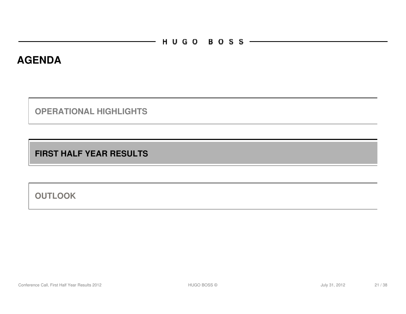#### **AGENDA**

**OPERATIONAL HIGHLIGHTS** 

**FIRST HALF YEAR RESULTS**

**OUTLOOK**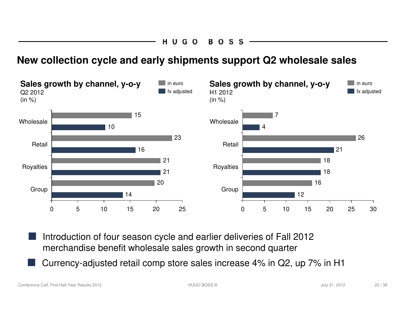#### **New collection cycle and early shipments support Q2 wholesale sales**



- Introduction of four season cycle and earlier deliveries of Fall 2012 merchandise benefit wholesale sales growth in second quarter
- Currency-adjusted retail comp store sales increase 4% in Q2, up 7% in H1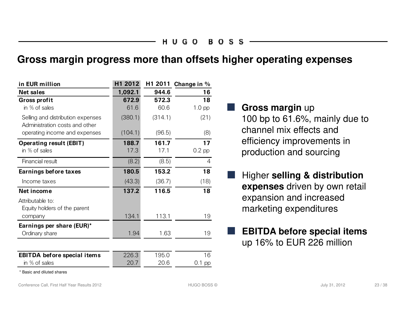#### **Gross margin progress more than offsets higher operating expenses**

| in EUR million                                                      | H1 2012 | H1 2011 | Change in % |
|---------------------------------------------------------------------|---------|---------|-------------|
| <b>Net sales</b>                                                    | 1,092.1 | 944.6   | 16          |
| Gross profit                                                        | 672.9   | 572.3   | 18          |
| in % of sales                                                       | 61.6    | 60.6    | $1.0$ pp    |
| Selling and distribution expenses<br>Administration costs and other | (380.1) | (314.1) | (21)        |
| operating income and expenses                                       | (104.1) | (96.5)  | (8)         |
| <b>Operating result (EBIT)</b>                                      | 188.7   | 161.7   | 17          |
| in % of sales                                                       | 17.3    | 17.1    | $0.2$ pp    |
| Financial result                                                    | (8.2)   | (8.5)   | 4           |
| Earnings before taxes                                               | 180.5   | 153.2   | 18          |
| Income taxes                                                        | (43.3)  | (36.7)  | (18)        |
| Net income                                                          | 137.2   | 116.5   | 18          |
| Attributable to:<br>Equity holders of the parent                    |         |         |             |
| company                                                             | 134.1   | 113.1   | 19          |
| Earnings per share (EUR)*                                           |         |         |             |
| Ordinary share                                                      | 1.94    | 1.63    | 19          |
|                                                                     |         |         |             |
| <b>EBITDA</b> before special items                                  | 226.3   | 195.0   | 16          |
| in % of sales                                                       | 20.7    | 20.6    | $0.1$ pp    |

\* Basic and diluted shares

#### **Gross margin** up

100 bp to 61.6%, mainly due to channel mix effects and efficiency improvements in production and sourcing

- **Higher selling & distribution expenses** driven by own retail expansion and increased marketing expenditures
- **EBITDA before special items** up 16% to EUR 226 million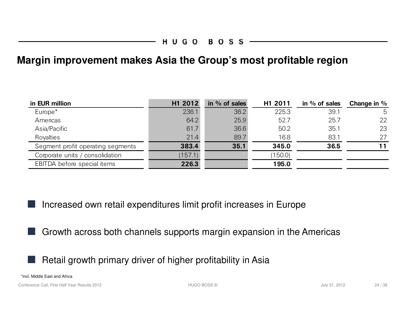#### **Margin improvement makes Asia the Group's most profitable region**

| in EUR million                    | H1 2012 | in $%$ of sales | H1 2011 | in $%$ of sales | Change in $%$ |
|-----------------------------------|---------|-----------------|---------|-----------------|---------------|
| Europe <sup>*</sup>               | 236.1   | 36.2            | 225.3   | 39.1            | 5             |
| Americas                          | 64.2    | 25.9            | 52.7    | 25.7            | 22            |
| Asia/Pacific                      | 61.7    | 36.6            | 50.2    | 35.1            | 23            |
| Royalties                         | 21.4    | 89.7            | 16.8    | 83.1            | 27            |
| Segment profit operating segments | 383.4   | 35.1            | 345.0   | 36.5            | 11            |
| Corporate units / consolidation   | (157.1) |                 | 150.0   |                 |               |
| EBITDA before special items       | 226.3   |                 | 195.0   |                 |               |

Increased own retail expenditures limit profit increases in Europe

Growth across both channels supports margin expansion in the Americas

Retail growth primary driver of higher profitability in Asia

\*incl. Middle East and Africa

Conference Call, First Half Year Results 2012 **Matter According to Accord Provident According 2012** 138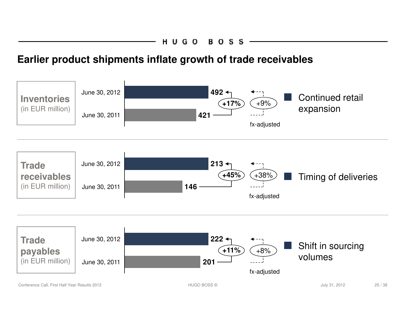### **Earlier product shipments inflate growth of trade receivables**

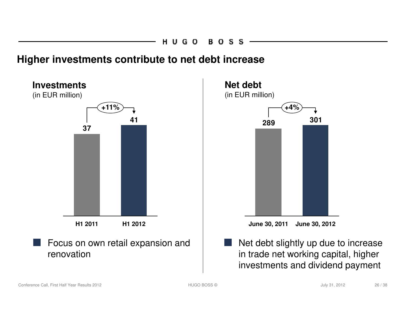#### **Higher investments contribute to net debt increase**



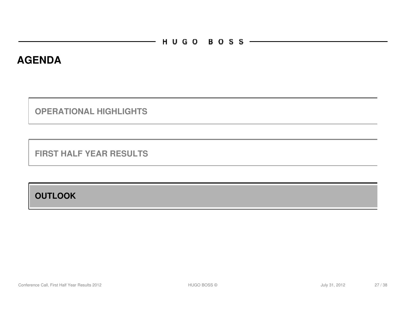#### **AGENDA**

**OPERATIONAL HIGHLIGHTS** 

**FIRST HALF YEAR RESULTS**

**OUTLOOK**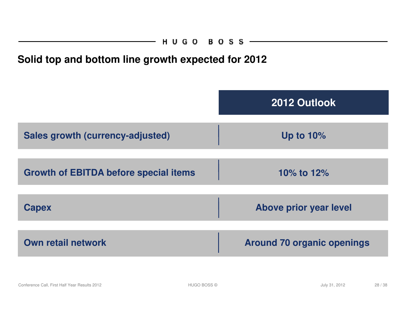### **Solid top and bottom line growth expected for 2012**

|                                              | 2012 Outlook                      |
|----------------------------------------------|-----------------------------------|
| Sales growth (currency-adjusted)             | Up to $10\%$                      |
| <b>Growth of EBITDA before special items</b> | 10% to 12%                        |
| <b>Capex</b>                                 | Above prior year level            |
| <b>Own retail network</b>                    | <b>Around 70 organic openings</b> |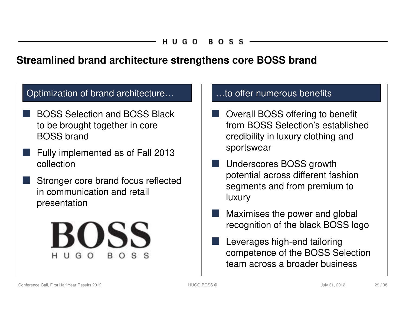#### **Streamlined brand architecture strengthens core BOSS brand**

#### Optimization of brand architecture... **Example:** ...to offer numerous benefits

- BOSS Selection and BOSS Black to be brought together in core BOSS brand
- Fully implemented as of Fall 2013 collection
- Stronger core brand focus reflected in communication and retail presentation



- Overall BOSS offering to benefit from BOSS Selection's established credibility in luxury clothing and sportswear
- Underscores BOSS growth potential across different fashion segments and from premium to luxury
- Maximises the power and global recognition of the black BOSS logo
- Leverages high-end tailoring competence of the BOSS Selection team across a broader business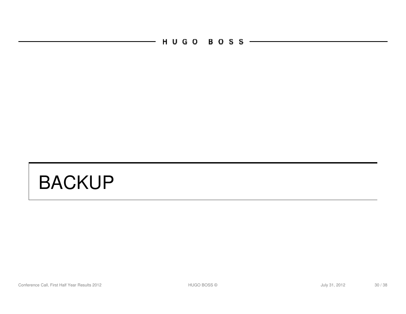$-$  HUGO BOSS  $-$ 

# BACKUP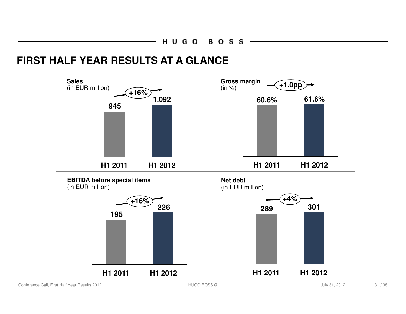#### **FIRST HALF YEAR RESULTS AT A GLANCE**



Conference Call, First Half Year Results 2012 **First 2012 HUGO BOSS © Service 2014** July 31, 2012 31 / 38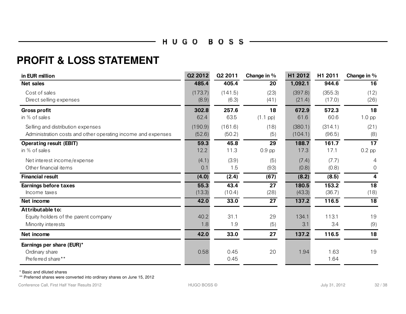#### —— ни со воѕѕ ——

#### **PROFIT & LOSS STATEMENT**

| in EUR million                                                                                    | <b>Q2 2012</b>    | Q2 2011           | Change in %              | H1 2012            | H1 2011           | Change in $%$               |
|---------------------------------------------------------------------------------------------------|-------------------|-------------------|--------------------------|--------------------|-------------------|-----------------------------|
| <b>Net sales</b>                                                                                  | 485.4             | 405.4             | 20                       | 1,092.1            | 944.6             | 16                          |
| Cost of sales<br>Direct selling expenses                                                          | (173.7)<br>(8.9)  | (141.5)<br>(6.3)  | (23)<br>(41)             | (397.8)<br>(21.4)  | (355.3)<br>(17.0) | (12)<br>(26)                |
| <b>Gross profit</b><br>in % of sales                                                              | 302.8<br>62.4     | 257.6<br>63.5     | 18<br>$(1.1 \text{ pp})$ | 672.9<br>61.6      | 572.3<br>60.6     | 18<br>$1.0$ pp              |
| Selling and distribution expenses<br>Administration costs and other operating income and expenses | (190.9)<br>(52.6) | (161.6)<br>(50.2) | (18)<br>(5)              | (380.1)<br>(104.1) | (314.1)<br>(96.5) | (21)<br>(8)                 |
| <b>Operating result (EBIT)</b><br>in % of sales                                                   | 59.3<br>12.2      | 45.8<br>11.3      | 29<br>$0.9$ pp           | 188.7<br>17.3      | 161.7<br>17.1     | $\overline{17}$<br>$0.2$ pp |
| Net interest income/expense<br>Other financial items                                              | (4.1)<br>0.1      | (3.9)<br>1.5      | (5)<br>(93)              | (7.4)<br>(0.8)     | (7.7)<br>(0.8)    | 4<br>0                      |
| <b>Financial result</b>                                                                           | (4.0)             | (2.4)             | (67)                     | (8.2)              | (8.5)             | 4                           |
| <b>Earnings before taxes</b><br>Income taxes                                                      | 55.3<br>(13.3)    | 43.4<br>(10.4)    | 27<br>(28)               | 180.5<br>(43.3)    | 153.2<br>(36.7)   | 18<br>(18)                  |
| Net income                                                                                        | 42.0              | 33.0              | $\overline{27}$          | 137.2              | 116.5             | 18                          |
| Attributable to:<br>Equity holders of the parent company<br>Minority interests                    | 40.2<br>1.8       | 31.1<br>1.9       | 29<br>(5)                | 134.1<br>3.1       | 113.1<br>3.4      | 19<br>(9)                   |
| Net income                                                                                        | 42.0              | 33.0              | 27                       | 137.2              | 116.5             | 18                          |
| Earnings per share (EUR)*<br>Ordinary share<br>Preferred share**                                  | 0.58              | 0.45<br>0.45      | 20                       | 1.94               | 1.63<br>1.64      | 19                          |

\* Basic and diluted shares

\*\* Preferred shares were converted into ordinary shares on June 15, 2012

Conference Call, First Half Year Results 2012 **First 2012 HUGO BOSS © Service 2014** July 31, 2012 32 / 38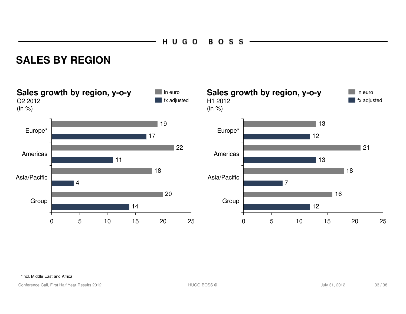HUGO **BOSS** 

#### **SALES BY REGION**



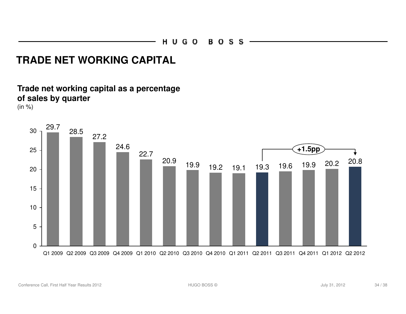### **TRADE NET WORKING CAPITAL**

#### **Trade net working capital as a percentage of sales by quarter**

(in %)

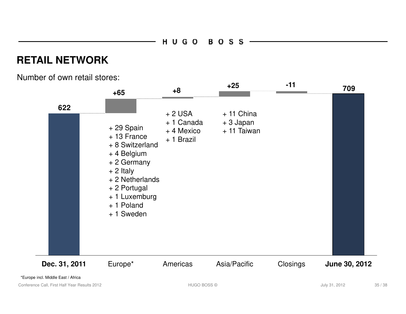### **RETAIL NETWORK**

Number of own retail stores:



\*Europe incl. Middle East / Africa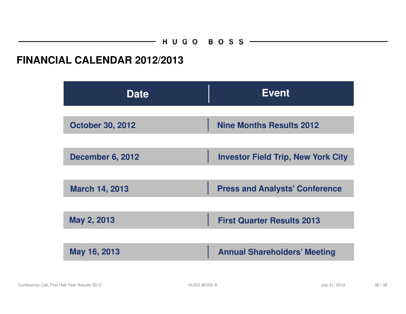#### **FINANCIAL CALENDAR 2012/2013**

| <b>Date</b>             | <b>Event</b>                              |  |
|-------------------------|-------------------------------------------|--|
| <b>October 30, 2012</b> | <b>Nine Months Results 2012</b>           |  |
| <b>December 6, 2012</b> | <b>Investor Field Trip, New York City</b> |  |
|                         |                                           |  |
| <b>March 14, 2013</b>   | <b>Press and Analysts' Conference</b>     |  |
| May 2, 2013             | <b>First Quarter Results 2013</b>         |  |
| May 16, 2013            | <b>Annual Shareholders' Meeting</b>       |  |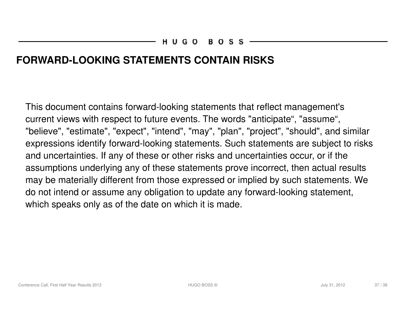### **FORWARD-LOOKING STATEMENTS CONTAIN RISKS**

This document contains forward-looking statements that reflect management's current views with respect to future events. The words "anticipate", "assume", "believe", "estimate", "expect", "intend", "may", "plan", "project", "should", and similar expressions identify forward-looking statements. Such statements are subject to risks and uncertainties. If any of these or other risks and uncertainties occur, or if the assumptions underlying any of these statements prove incorrect, then actual results may be materially different from those expressed or implied by such statements. We do not intend or assume any obligation to update any forward-looking statement, which speaks only as of the date on which it is made.